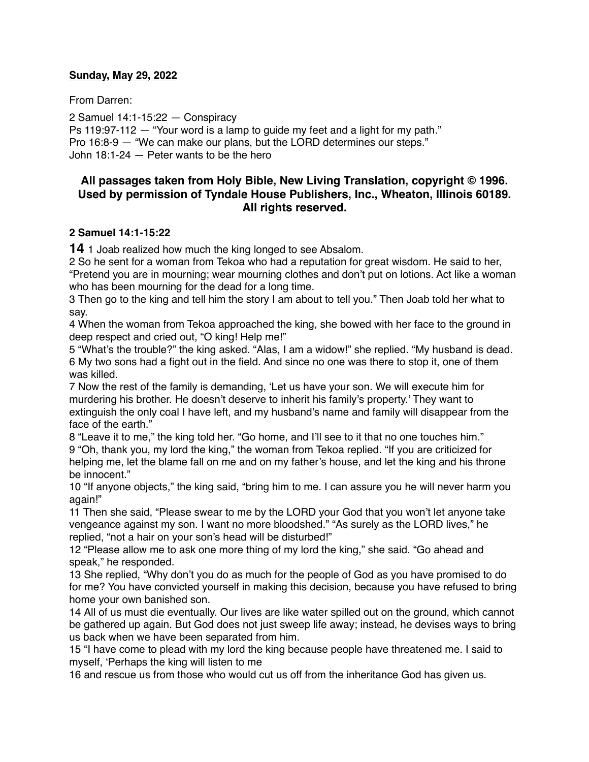#### **Sunday, May 29, 2022**

From Darren:

2 Samuel 14:1-15:22 — Conspiracy Ps 119:97-112 — "Your word is a lamp to guide my feet and a light for my path." Pro 16:8-9 — "We can make our plans, but the LORD determines our steps." John 18:1-24 — Peter wants to be the hero

# **All passages taken from Holy Bible, [New Living Translation](http://www.newlivingtranslation.com/), copyright © 1996. Used by permission of [Tyndale House Publishers](http://tyndale.com/), Inc., Wheaton, Illinois 60189. All rights reserved.**

### **2 Samuel 14:1-15:22**

**14** 1 Joab realized how much the king longed to see Absalom.

2 So he sent for a woman from Tekoa who had a reputation for great wisdom. He said to her, "Pretend you are in mourning; wear mourning clothes and don't put on lotions. Act like a woman who has been mourning for the dead for a long time.

3 Then go to the king and tell him the story I am about to tell you." Then Joab told her what to say.

4 When the woman from Tekoa approached the king, she bowed with her face to the ground in deep respect and cried out, "O king! Help me!"

5 "What's the trouble?" the king asked. "Alas, I am a widow!" she replied. "My husband is dead. 6 My two sons had a fight out in the field. And since no one was there to stop it, one of them was killed.

7 Now the rest of the family is demanding, 'Let us have your son. We will execute him for murdering his brother. He doesn't deserve to inherit his family's property.' They want to extinguish the only coal I have left, and my husband's name and family will disappear from the face of the earth."

8 "Leave it to me," the king told her. "Go home, and I'll see to it that no one touches him." 9 "Oh, thank you, my lord the king," the woman from Tekoa replied. "If you are criticized for helping me, let the blame fall on me and on my father's house, and let the king and his throne be innocent."

10 "If anyone objects," the king said, "bring him to me. I can assure you he will never harm you again!"

11 Then she said, "Please swear to me by the LORD your God that you won't let anyone take vengeance against my son. I want no more bloodshed." "As surely as the LORD lives," he replied, "not a hair on your son's head will be disturbed!"

12 "Please allow me to ask one more thing of my lord the king," she said. "Go ahead and speak," he responded.

13 She replied, "Why don't you do as much for the people of God as you have promised to do for me? You have convicted yourself in making this decision, because you have refused to bring home your own banished son.

14 All of us must die eventually. Our lives are like water spilled out on the ground, which cannot be gathered up again. But God does not just sweep life away; instead, he devises ways to bring us back when we have been separated from him.

15 "I have come to plead with my lord the king because people have threatened me. I said to myself, 'Perhaps the king will listen to me

16 and rescue us from those who would cut us off from the inheritance God has given us.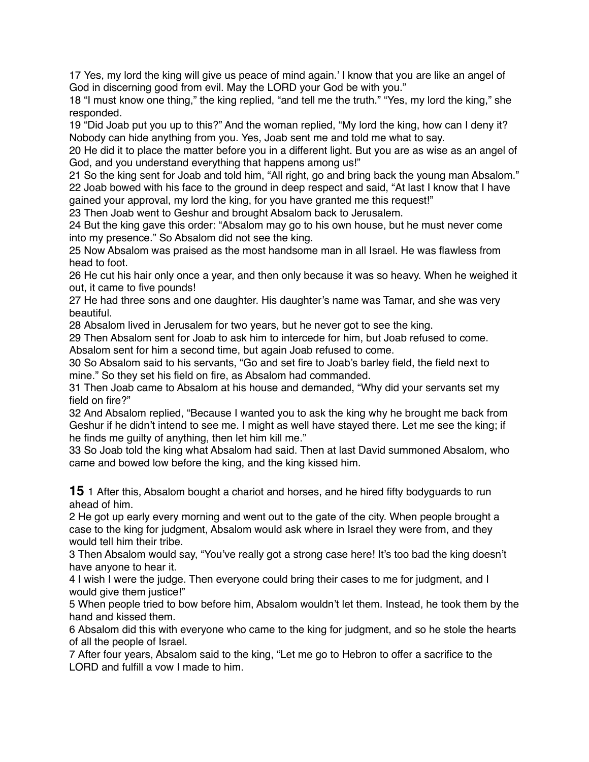17 Yes, my lord the king will give us peace of mind again.' I know that you are like an angel of God in discerning good from evil. May the LORD your God be with you."

18 "I must know one thing," the king replied, "and tell me the truth." "Yes, my lord the king," she responded.

19 "Did Joab put you up to this?" And the woman replied, "My lord the king, how can I deny it? Nobody can hide anything from you. Yes, Joab sent me and told me what to say.

20 He did it to place the matter before you in a different light. But you are as wise as an angel of God, and you understand everything that happens among us!"

21 So the king sent for Joab and told him, "All right, go and bring back the young man Absalom." 22 Joab bowed with his face to the ground in deep respect and said, "At last I know that I have

gained your approval, my lord the king, for you have granted me this request!"

23 Then Joab went to Geshur and brought Absalom back to Jerusalem.

24 But the king gave this order: "Absalom may go to his own house, but he must never come into my presence." So Absalom did not see the king.

25 Now Absalom was praised as the most handsome man in all Israel. He was flawless from head to foot.

26 He cut his hair only once a year, and then only because it was so heavy. When he weighed it out, it came to five pounds!

27 He had three sons and one daughter. His daughter's name was Tamar, and she was very beautiful.

28 Absalom lived in Jerusalem for two years, but he never got to see the king.

29 Then Absalom sent for Joab to ask him to intercede for him, but Joab refused to come. Absalom sent for him a second time, but again Joab refused to come.

30 So Absalom said to his servants, "Go and set fire to Joab's barley field, the field next to mine." So they set his field on fire, as Absalom had commanded.

31 Then Joab came to Absalom at his house and demanded, "Why did your servants set my field on fire?"

32 And Absalom replied, "Because I wanted you to ask the king why he brought me back from Geshur if he didn't intend to see me. I might as well have stayed there. Let me see the king; if he finds me guilty of anything, then let him kill me."

33 So Joab told the king what Absalom had said. Then at last David summoned Absalom, who came and bowed low before the king, and the king kissed him.

**15** 1 After this, Absalom bought a chariot and horses, and he hired fifty bodyguards to run ahead of him.

2 He got up early every morning and went out to the gate of the city. When people brought a case to the king for judgment, Absalom would ask where in Israel they were from, and they would tell him their tribe.

3 Then Absalom would say, "You've really got a strong case here! It's too bad the king doesn't have anyone to hear it.

4 I wish I were the judge. Then everyone could bring their cases to me for judgment, and I would give them justice!"

5 When people tried to bow before him, Absalom wouldn't let them. Instead, he took them by the hand and kissed them.

6 Absalom did this with everyone who came to the king for judgment, and so he stole the hearts of all the people of Israel.

7 After four years, Absalom said to the king, "Let me go to Hebron to offer a sacrifice to the LORD and fulfill a vow I made to him.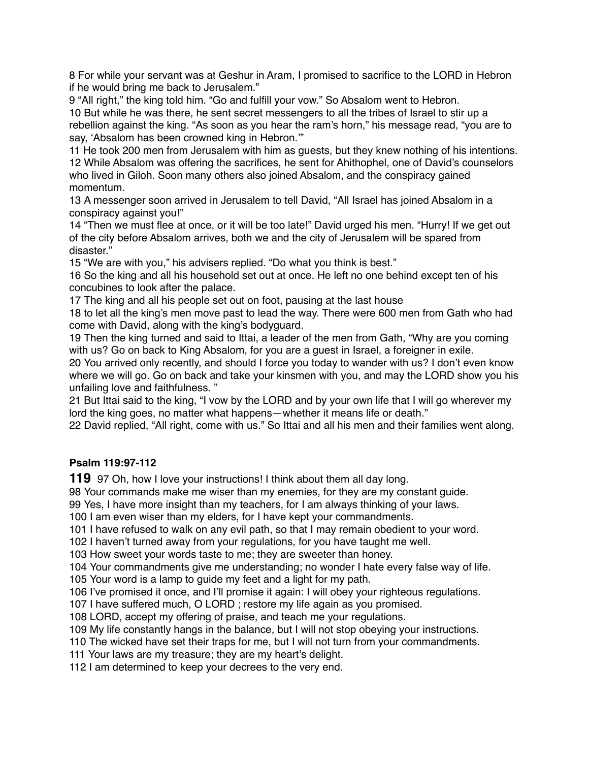For while your servant was at Geshur in Aram, I promised to sacrifice to the LORD in Hebron if he would bring me back to Jerusalem."

 "All right," the king told him. "Go and fulfill your vow." So Absalom went to Hebron. But while he was there, he sent secret messengers to all the tribes of Israel to stir up a rebellion against the king. "As soon as you hear the ram's horn," his message read, "you are to say, 'Absalom has been crowned king in Hebron.'"

 He took 200 men from Jerusalem with him as guests, but they knew nothing of his intentions. While Absalom was offering the sacrifices, he sent for Ahithophel, one of David's counselors who lived in Giloh. Soon many others also joined Absalom, and the conspiracy gained momentum.

 A messenger soon arrived in Jerusalem to tell David, "All Israel has joined Absalom in a conspiracy against you!"

 "Then we must flee at once, or it will be too late!" David urged his men. "Hurry! If we get out of the city before Absalom arrives, both we and the city of Jerusalem will be spared from disaster."

"We are with you," his advisers replied. "Do what you think is best."

 So the king and all his household set out at once. He left no one behind except ten of his concubines to look after the palace.

The king and all his people set out on foot, pausing at the last house

 to let all the king's men move past to lead the way. There were 600 men from Gath who had come with David, along with the king's bodyguard.

 Then the king turned and said to Ittai, a leader of the men from Gath, "Why are you coming with us? Go on back to King Absalom, for you are a guest in Israel, a foreigner in exile.

 You arrived only recently, and should I force you today to wander with us? I don't even know where we will go. Go on back and take your kinsmen with you, and may the LORD show you his unfailing love and faithfulness. "

 But Ittai said to the king, "I vow by the LORD and by your own life that I will go wherever my lord the king goes, no matter what happens—whether it means life or death."

David replied, "All right, come with us." So Ittai and all his men and their families went along.

# **Psalm 119:97-112**

97 Oh, how I love your instructions! I think about them all day long.

Your commands make me wiser than my enemies, for they are my constant guide.

Yes, I have more insight than my teachers, for I am always thinking of your laws.

I am even wiser than my elders, for I have kept your commandments.

I have refused to walk on any evil path, so that I may remain obedient to your word.

I haven't turned away from your regulations, for you have taught me well.

How sweet your words taste to me; they are sweeter than honey.

Your commandments give me understanding; no wonder I hate every false way of life.

Your word is a lamp to guide my feet and a light for my path.

I've promised it once, and I'll promise it again: I will obey your righteous regulations.

I have suffered much, O LORD ; restore my life again as you promised.

LORD, accept my offering of praise, and teach me your regulations.

My life constantly hangs in the balance, but I will not stop obeying your instructions.

The wicked have set their traps for me, but I will not turn from your commandments.

Your laws are my treasure; they are my heart's delight.

I am determined to keep your decrees to the very end.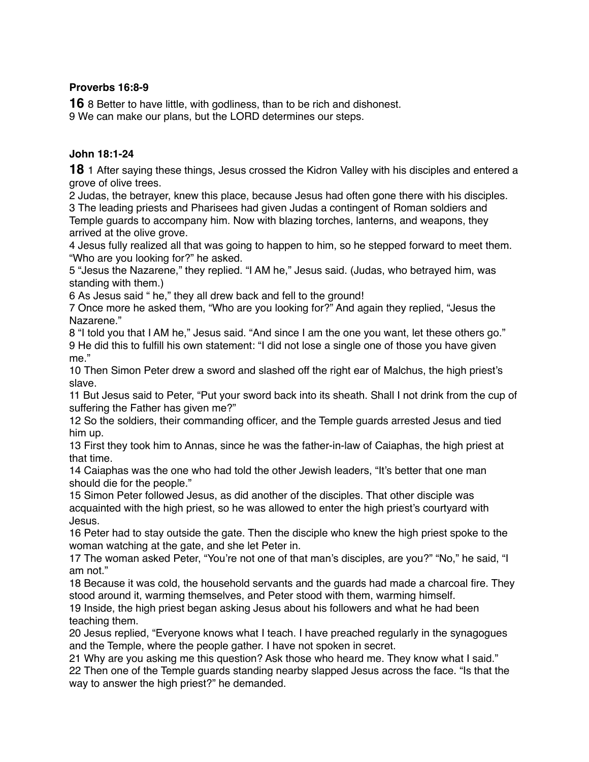### **Proverbs 16:8-9**

**16** 8 Better to have little, with godliness, than to be rich and dishonest.

9 We can make our plans, but the LORD determines our steps.

### **John 18:1-24**

**18** 1 After saying these things, Jesus crossed the Kidron Valley with his disciples and entered a grove of olive trees.

2 Judas, the betrayer, knew this place, because Jesus had often gone there with his disciples.

3 The leading priests and Pharisees had given Judas a contingent of Roman soldiers and Temple guards to accompany him. Now with blazing torches, lanterns, and weapons, they arrived at the olive grove.

4 Jesus fully realized all that was going to happen to him, so he stepped forward to meet them. "Who are you looking for?" he asked.

5 "Jesus the Nazarene," they replied. "I AM he," Jesus said. (Judas, who betrayed him, was standing with them.)

6 As Jesus said " he," they all drew back and fell to the ground!

7 Once more he asked them, "Who are you looking for?" And again they replied, "Jesus the Nazarene."

8 "I told you that I AM he," Jesus said. "And since I am the one you want, let these others go." 9 He did this to fulfill his own statement: "I did not lose a single one of those you have given me."

10 Then Simon Peter drew a sword and slashed off the right ear of Malchus, the high priest's slave.

11 But Jesus said to Peter, "Put your sword back into its sheath. Shall I not drink from the cup of suffering the Father has given me?"

12 So the soldiers, their commanding officer, and the Temple guards arrested Jesus and tied him up.

13 First they took him to Annas, since he was the father-in-law of Caiaphas, the high priest at that time.

14 Caiaphas was the one who had told the other Jewish leaders, "It's better that one man should die for the people."

15 Simon Peter followed Jesus, as did another of the disciples. That other disciple was acquainted with the high priest, so he was allowed to enter the high priest's courtyard with Jesus.

16 Peter had to stay outside the gate. Then the disciple who knew the high priest spoke to the woman watching at the gate, and she let Peter in.

17 The woman asked Peter, "You're not one of that man's disciples, are you?" "No," he said, "I am not."

18 Because it was cold, the household servants and the guards had made a charcoal fire. They stood around it, warming themselves, and Peter stood with them, warming himself.

19 Inside, the high priest began asking Jesus about his followers and what he had been teaching them.

20 Jesus replied, "Everyone knows what I teach. I have preached regularly in the synagogues and the Temple, where the people gather. I have not spoken in secret.

21 Why are you asking me this question? Ask those who heard me. They know what I said." 22 Then one of the Temple guards standing nearby slapped Jesus across the face. "Is that the way to answer the high priest?" he demanded.